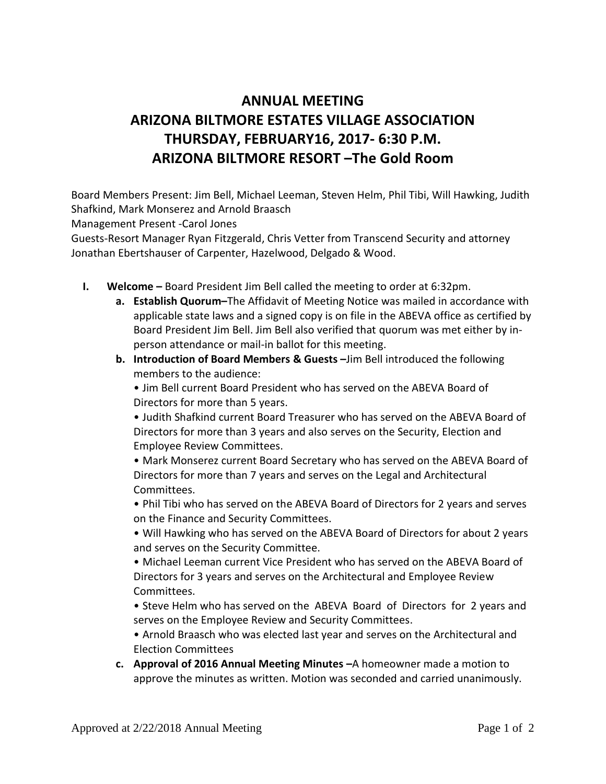## **ANNUAL MEETING ARIZONA BILTMORE ESTATES VILLAGE ASSOCIATION THURSDAY, FEBRUARY16, 2017- 6:30 P.M. ARIZONA BILTMORE RESORT –The Gold Room**

Board Members Present: Jim Bell, Michael Leeman, Steven Helm, Phil Tibi, Will Hawking, Judith Shafkind, Mark Monserez and Arnold Braasch

Management Present -Carol Jones

Guests-Resort Manager Ryan Fitzgerald, Chris Vetter from Transcend Security and attorney Jonathan Ebertshauser of Carpenter, Hazelwood, Delgado & Wood.

- **I. Welcome –** Board President Jim Bell called the meeting to order at 6:32pm.
	- **a. Establish Quorum–**The Affidavit of Meeting Notice was mailed in accordance with applicable state laws and a signed copy is on file in the ABEVA office as certified by Board President Jim Bell. Jim Bell also verified that quorum was met either by inperson attendance or mail-in ballot for this meeting.
	- **b.** Introduction of Board Members & Guests -Jim Bell introduced the following members to the audience:

• Jim Bell current Board President who has served on the ABEVA Board of Directors for more than 5 years.

• Judith Shafkind current Board Treasurer who has served on the ABEVA Board of Directors for more than 3 years and also serves on the Security, Election and Employee Review Committees.

• Mark Monserez current Board Secretary who has served on the ABEVA Board of Directors for more than 7 years and serves on the Legal and Architectural Committees.

• Phil Tibi who has served on the ABEVA Board of Directors for 2 years and serves on the Finance and Security Committees.

• Will Hawking who has served on the ABEVA Board of Directors for about 2 years and serves on the Security Committee.

• Michael Leeman current Vice President who has served on the ABEVA Board of Directors for 3 years and serves on the Architectural and Employee Review Committees.

• Steve Helm who has served on the ABEVA Board of Directors for 2 years and serves on the Employee Review and Security Committees.

• Arnold Braasch who was elected last year and serves on the Architectural and Election Committees

**c. Approval of 2016 Annual Meeting Minutes –**A homeowner made a motion to approve the minutes as written. Motion was seconded and carried unanimously.